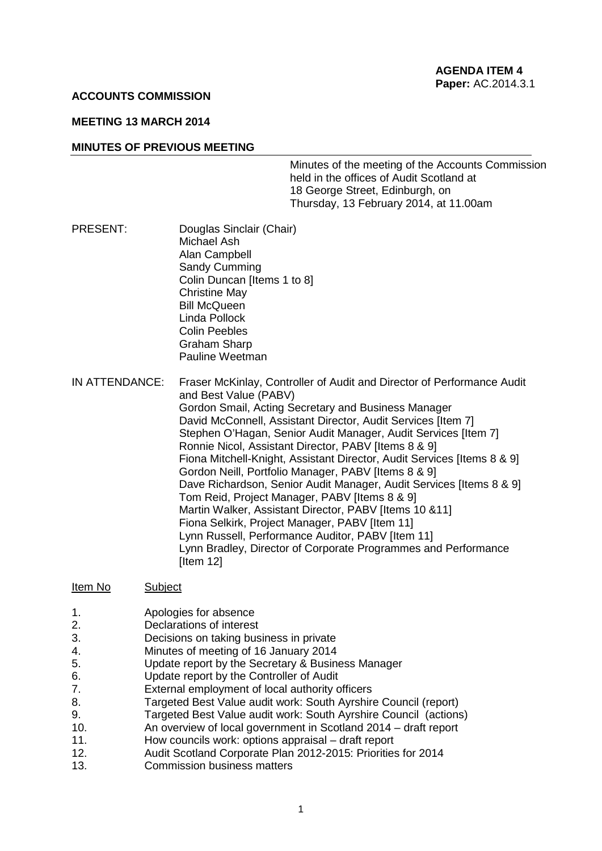#### **ACCOUNTS COMMISSION**

#### **MEETING 13 MARCH 2014**

#### **MINUTES OF PREVIOUS MEETING**

Minutes of the meeting of the Accounts Commission held in the offices of Audit Scotland at 18 George Street, Edinburgh, on Thursday, 13 February 2014, at 11.00am

- PRESENT: Douglas Sinclair (Chair) Michael Ash Alan Campbell Sandy Cumming Colin Duncan [Items 1 to 8] Christine May Bill McQueen Linda Pollock Colin Peebles Graham Sharp Pauline Weetman
- IN ATTENDANCE: Fraser McKinlay, Controller of Audit and Director of Performance Audit and Best Value (PABV) Gordon Smail, Acting Secretary and Business Manager David McConnell, Assistant Director, Audit Services [Item 7] Stephen O'Hagan, Senior Audit Manager, Audit Services [Item 7] Ronnie Nicol, Assistant Director, PABV [Items 8 & 9] Fiona Mitchell-Knight, Assistant Director, Audit Services [Items 8 & 9] Gordon Neill, Portfolio Manager, PABV [Items 8 & 9] Dave Richardson, Senior Audit Manager, Audit Services [Items 8 & 9] Tom Reid, Project Manager, PABV [Items 8 & 9] Martin Walker, Assistant Director, PABV [Items 10 &11] Fiona Selkirk, Project Manager, PABV [Item 11] Lynn Russell, Performance Auditor, PABV [Item 11] Lynn Bradley, Director of Corporate Programmes and Performance [Item 12]

#### Item No Subject

- 1. Apologies for absence
- 2. Declarations of interest
- 3. Decisions on taking business in private
- 4. Minutes of meeting of 16 January 2014
- 5. Update report by the Secretary & Business Manager
- 6. Update report by the Controller of Audit
- 7. External employment of local authority officers<br>8. Targeted Best Value audit work: South Avrshire
- Targeted Best Value audit work: South Ayrshire Council (report)
- 9. Targeted Best Value audit work: South Avrshire Council (actions)
- 10. An overview of local government in Scotland 2014 draft report
- 11. How councils work: options appraisal draft report
- 12. Audit Scotland Corporate Plan 2012-2015: Priorities for 2014
- 13. Commission business matters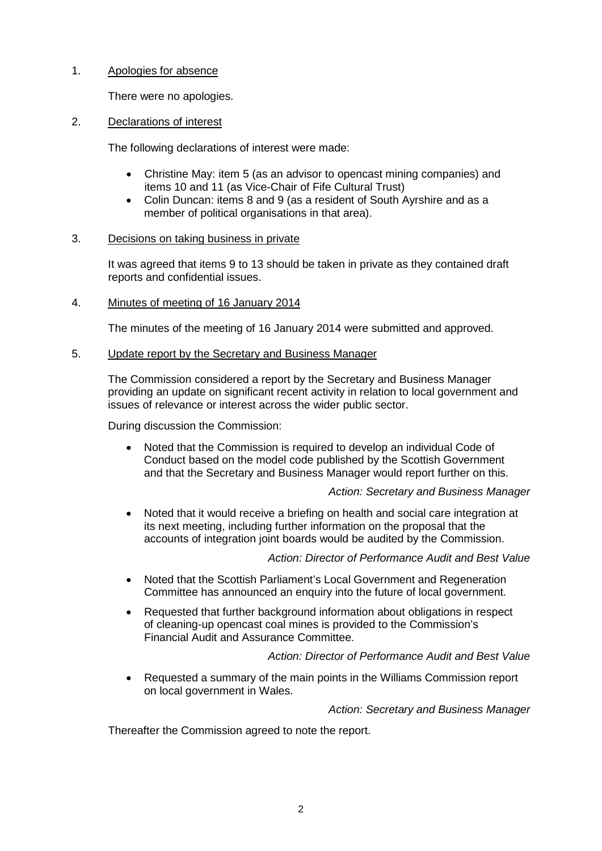# 1. Apologies for absence

There were no apologies.

# 2. Declarations of interest

The following declarations of interest were made:

- Christine May: item 5 (as an advisor to opencast mining companies) and items 10 and 11 (as Vice-Chair of Fife Cultural Trust)
- Colin Duncan: items 8 and 9 (as a resident of South Ayrshire and as a member of political organisations in that area).

# 3. Decisions on taking business in private

It was agreed that items 9 to 13 should be taken in private as they contained draft reports and confidential issues.

## 4. Minutes of meeting of 16 January 2014

The minutes of the meeting of 16 January 2014 were submitted and approved.

# 5. Update report by the Secretary and Business Manager

The Commission considered a report by the Secretary and Business Manager providing an update on significant recent activity in relation to local government and issues of relevance or interest across the wider public sector.

During discussion the Commission:

• Noted that the Commission is required to develop an individual Code of Conduct based on the model code published by the Scottish Government and that the Secretary and Business Manager would report further on this.

## *Action: Secretary and Business Manager*

• Noted that it would receive a briefing on health and social care integration at its next meeting, including further information on the proposal that the accounts of integration joint boards would be audited by the Commission.

*Action: Director of Performance Audit and Best Value*

- Noted that the Scottish Parliament's Local Government and Regeneration Committee has announced an enquiry into the future of local government.
- Requested that further background information about obligations in respect of cleaning-up opencast coal mines is provided to the Commission's Financial Audit and Assurance Committee.

# *Action: Director of Performance Audit and Best Value*

• Requested a summary of the main points in the Williams Commission report on local government in Wales.

## *Action: Secretary and Business Manager*

Thereafter the Commission agreed to note the report.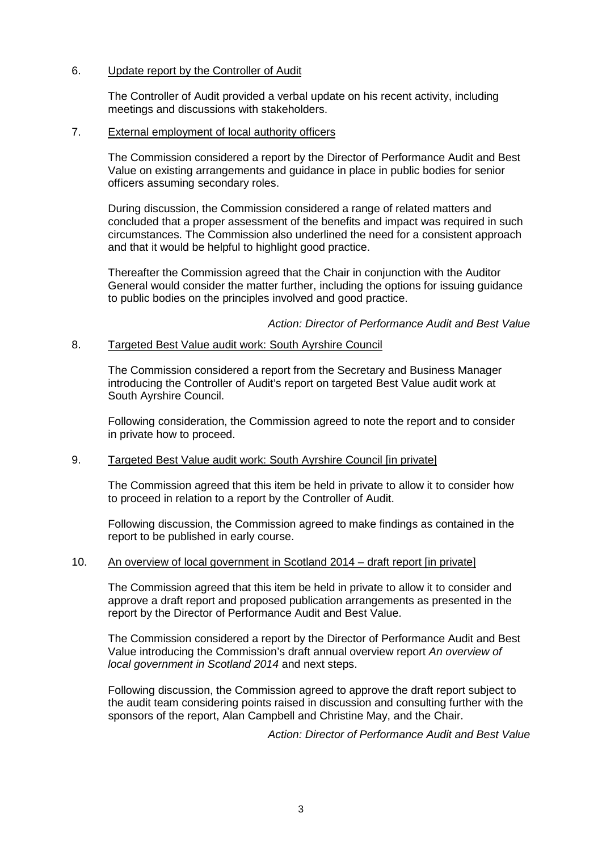### 6. Update report by the Controller of Audit

The Controller of Audit provided a verbal update on his recent activity, including meetings and discussions with stakeholders.

### 7. External employment of local authority officers

The Commission considered a report by the Director of Performance Audit and Best Value on existing arrangements and guidance in place in public bodies for senior officers assuming secondary roles.

During discussion, the Commission considered a range of related matters and concluded that a proper assessment of the benefits and impact was required in such circumstances. The Commission also underlined the need for a consistent approach and that it would be helpful to highlight good practice.

Thereafter the Commission agreed that the Chair in conjunction with the Auditor General would consider the matter further, including the options for issuing guidance to public bodies on the principles involved and good practice.

*Action: Director of Performance Audit and Best Value*

### 8. Targeted Best Value audit work: South Ayrshire Council

The Commission considered a report from the Secretary and Business Manager introducing the Controller of Audit's report on targeted Best Value audit work at South Ayrshire Council.

Following consideration, the Commission agreed to note the report and to consider in private how to proceed.

#### 9. Targeted Best Value audit work: South Ayrshire Council [in private]

The Commission agreed that this item be held in private to allow it to consider how to proceed in relation to a report by the Controller of Audit.

Following discussion, the Commission agreed to make findings as contained in the report to be published in early course.

#### 10. An overview of local government in Scotland 2014 – draft report [in private]

The Commission agreed that this item be held in private to allow it to consider and approve a draft report and proposed publication arrangements as presented in the report by the Director of Performance Audit and Best Value.

The Commission considered a report by the Director of Performance Audit and Best Value introducing the Commission's draft annual overview report *An overview of local government in Scotland 2014* and next steps.

Following discussion, the Commission agreed to approve the draft report subject to the audit team considering points raised in discussion and consulting further with the sponsors of the report, Alan Campbell and Christine May, and the Chair.

*Action: Director of Performance Audit and Best Value*